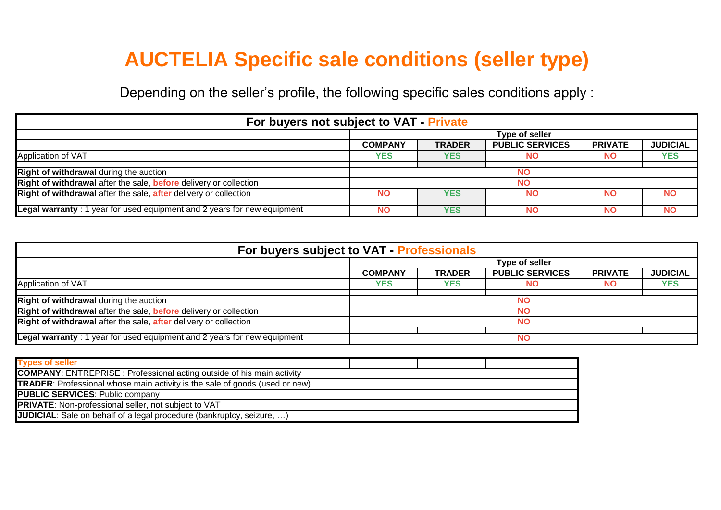## **AUCTELIA Specific sale conditions (seller type)**

Depending on the seller's profile, the following specific sales conditions apply :

| For buyers not subject to VAT - Private                                 |                |               |                        |                |                 |  |  |  |  |
|-------------------------------------------------------------------------|----------------|---------------|------------------------|----------------|-----------------|--|--|--|--|
|                                                                         | Type of seller |               |                        |                |                 |  |  |  |  |
|                                                                         | <b>COMPANY</b> | <b>TRADER</b> | <b>PUBLIC SERVICES</b> | <b>PRIVATE</b> | <b>JUDICIAL</b> |  |  |  |  |
| Application of VAT                                                      | YES            | <b>YES</b>    | NO                     | NO.            | <b>YES</b>      |  |  |  |  |
| Right of withdrawal during the auction                                  | <b>NO</b>      |               |                        |                |                 |  |  |  |  |
| Right of withdrawal after the sale, before delivery or collection       | <b>NO</b>      |               |                        |                |                 |  |  |  |  |
| Right of withdrawal after the sale, after delivery or collection        | <b>NO</b>      | <b>YES</b>    | <b>NO</b>              | NΟ             | <b>NO</b>       |  |  |  |  |
| Legal warranty: 1 year for used equipment and 2 years for new equipment | <b>NO</b>      | <b>YES</b>    | <b>NO</b>              | <b>NO</b>      | <b>NO</b>       |  |  |  |  |

| For buyers subject to VAT - Professionals                               |                |               |                        |                |                 |  |  |  |
|-------------------------------------------------------------------------|----------------|---------------|------------------------|----------------|-----------------|--|--|--|
|                                                                         | Type of seller |               |                        |                |                 |  |  |  |
|                                                                         | <b>COMPANY</b> | <b>TRADER</b> | <b>PUBLIC SERVICES</b> | <b>PRIVATE</b> | <b>JUDICIAL</b> |  |  |  |
| Application of VAT                                                      | <b>YES</b>     | <b>YES</b>    | <b>NO</b>              | NO.            | <b>YES</b>      |  |  |  |
| <b>Right of withdrawal during the auction</b>                           | <b>NO</b>      |               |                        |                |                 |  |  |  |
| Right of withdrawal after the sale, before delivery or collection       | <b>NO</b>      |               |                        |                |                 |  |  |  |
| Right of withdrawal after the sale, after delivery or collection        | <b>NO</b>      |               |                        |                |                 |  |  |  |
| Legal warranty: 1 year for used equipment and 2 years for new equipment |                | <b>NO</b>     |                        |                |                 |  |  |  |

| <b>Types of seller</b>                                                             |  |  |  |  |  |  |
|------------------------------------------------------------------------------------|--|--|--|--|--|--|
| <b>COMPANY:</b> ENTREPRISE: Professional acting outside of his main activity       |  |  |  |  |  |  |
| <b>TRADER:</b> Professional whose main activity is the sale of goods (used or new) |  |  |  |  |  |  |
| <b>PUBLIC SERVICES: Public company</b>                                             |  |  |  |  |  |  |
| <b>PRIVATE:</b> Non-professional seller, not subject to VAT                        |  |  |  |  |  |  |
| <b>JUDICIAL:</b> Sale on behalf of a legal procedure (bankruptcy, seizure, )       |  |  |  |  |  |  |